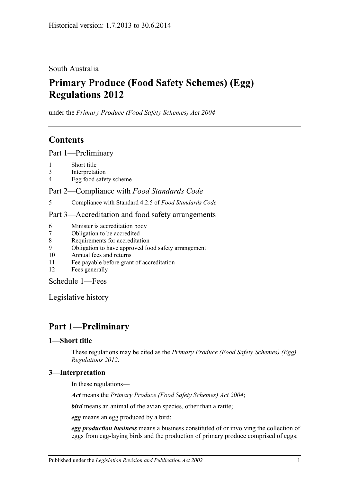South Australia

# **Primary Produce (Food Safety Schemes) (Egg) Regulations 2012**

under the *Primary Produce (Food Safety Schemes) Act 2004*

# **Contents**

Part [1—Preliminary](#page-0-0)

- 1 [Short title](#page-0-1)
- 3 [Interpretation](#page-0-2)
- 4 [Egg food safety scheme](#page-1-0)

Part 2—Compliance with *[Food Standards Code](#page-1-1)*

5 [Compliance with Standard](#page-1-2) 4.2.5 of *Food Standards Code*

### Part [3—Accreditation and food safety arrangements](#page-1-3)

- 6 [Minister is accreditation body](#page-1-4)
- 7 [Obligation to be accredited](#page-1-5)
- 8 [Requirements for accreditation](#page-1-6)
- 9 [Obligation to have approved food safety arrangement](#page-1-7)
- 10 [Annual fees and returns](#page-2-0)
- 11 [Fee payable before grant of accreditation](#page-2-1)
- 12 [Fees generally](#page-2-2)

[Schedule](#page-2-3) 1—Fees

[Legislative history](#page-3-0)

# <span id="page-0-0"></span>**Part 1—Preliminary**

### <span id="page-0-1"></span>**1—Short title**

These regulations may be cited as the *Primary Produce (Food Safety Schemes) (Egg) Regulations 2012*.

### <span id="page-0-2"></span>**3—Interpretation**

In these regulations—

*Act* means the *[Primary Produce \(Food Safety Schemes\) Act](http://www.legislation.sa.gov.au/index.aspx?action=legref&type=act&legtitle=Primary%20Produce%20(Food%20Safety%20Schemes)%20Act%202004) 2004*;

*bird* means an animal of the avian species, other than a ratite;

*egg* means an egg produced by a bird;

*egg production business* means a business constituted of or involving the collection of eggs from egg-laying birds and the production of primary produce comprised of eggs;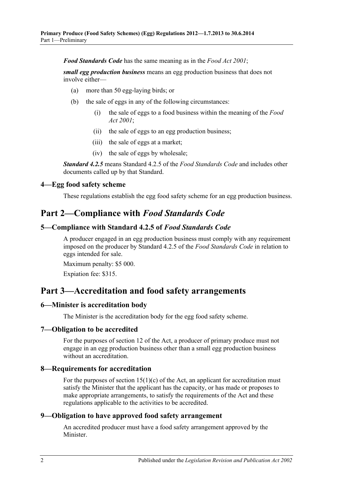*Food Standards Code* has the same meaning as in the *[Food Act](http://www.legislation.sa.gov.au/index.aspx?action=legref&type=act&legtitle=Food%20Act%202001) 2001*;

*small egg production business* means an egg production business that does not involve either—

- (a) more than 50 egg-laying birds; or
- (b) the sale of eggs in any of the following circumstances:
	- (i) the sale of eggs to a food business within the meaning of the *[Food](http://www.legislation.sa.gov.au/index.aspx?action=legref&type=act&legtitle=Food%20Act%202001)  Act [2001](http://www.legislation.sa.gov.au/index.aspx?action=legref&type=act&legtitle=Food%20Act%202001)*;
	- (ii) the sale of eggs to an egg production business;
	- (iii) the sale of eggs at a market;
	- (iv) the sale of eggs by wholesale;

*Standard 4.2.5* means Standard 4.2.5 of the *Food Standards Code* and includes other documents called up by that Standard.

#### <span id="page-1-0"></span>**4—Egg food safety scheme**

These regulations establish the egg food safety scheme for an egg production business.

## <span id="page-1-1"></span>**Part 2—Compliance with** *Food Standards Code*

#### <span id="page-1-2"></span>**5—Compliance with Standard 4.2.5 of** *Food Standards Code*

A producer engaged in an egg production business must comply with any requirement imposed on the producer by Standard 4.2.5 of the *Food Standards Code* in relation to eggs intended for sale.

Maximum penalty: \$5 000.

Expiation fee: \$315.

### <span id="page-1-3"></span>**Part 3—Accreditation and food safety arrangements**

#### <span id="page-1-4"></span>**6—Minister is accreditation body**

The Minister is the accreditation body for the egg food safety scheme.

#### <span id="page-1-5"></span>**7—Obligation to be accredited**

For the purposes of section 12 of the Act, a producer of primary produce must not engage in an egg production business other than a small egg production business without an accreditation.

#### <span id="page-1-6"></span>**8—Requirements for accreditation**

For the purposes of section  $15(1)(c)$  of the Act, an applicant for accreditation must satisfy the Minister that the applicant has the capacity, or has made or proposes to make appropriate arrangements, to satisfy the requirements of the Act and these regulations applicable to the activities to be accredited.

#### <span id="page-1-7"></span>**9—Obligation to have approved food safety arrangement**

An accredited producer must have a food safety arrangement approved by the Minister.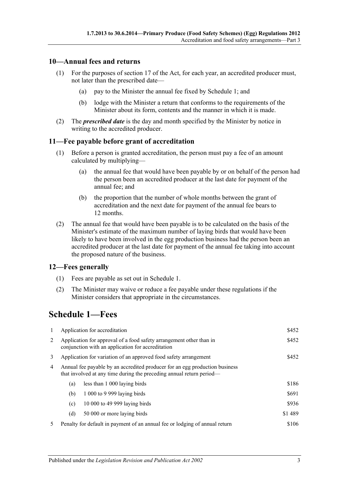#### <span id="page-2-0"></span>**10—Annual fees and returns**

- (1) For the purposes of section 17 of the Act, for each year, an accredited producer must, not later than the prescribed date—
	- (a) pay to the Minister the annual fee fixed by Schedule 1; and
	- (b) lodge with the Minister a return that conforms to the requirements of the Minister about its form, contents and the manner in which it is made.
- (2) The *prescribed date* is the day and month specified by the Minister by notice in writing to the accredited producer.

#### <span id="page-2-1"></span>**11—Fee payable before grant of accreditation**

- (1) Before a person is granted accreditation, the person must pay a fee of an amount calculated by multiplying—
	- (a) the annual fee that would have been payable by or on behalf of the person had the person been an accredited producer at the last date for payment of the annual fee; and
	- (b) the proportion that the number of whole months between the grant of accreditation and the next date for payment of the annual fee bears to 12 months.
- (2) The annual fee that would have been payable is to be calculated on the basis of the Minister's estimate of the maximum number of laying birds that would have been likely to have been involved in the egg production business had the person been an accredited producer at the last date for payment of the annual fee taking into account the proposed nature of the business.

#### <span id="page-2-2"></span>**12—Fees generally**

- (1) Fees are payable as set out in Schedule 1.
- (2) The Minister may waive or reduce a fee payable under these regulations if the Minister considers that appropriate in the circumstances.

# <span id="page-2-3"></span>**Schedule 1—Fees**

| 1 |                                                                                                                                                     | Application for accreditation                                               | \$452   |
|---|-----------------------------------------------------------------------------------------------------------------------------------------------------|-----------------------------------------------------------------------------|---------|
| 2 | Application for approval of a food safety arrangement other than in<br>conjunction with an application for accreditation                            | \$452                                                                       |         |
| 3 | Application for variation of an approved food safety arrangement                                                                                    | \$452                                                                       |         |
| 4 | Annual fee payable by an accredited producer for an egg production business<br>that involved at any time during the preceding annual return period— |                                                                             |         |
|   | (a)                                                                                                                                                 | less than 1 000 laying birds                                                | \$186   |
|   | (b)                                                                                                                                                 | 1 000 to 9 999 laying birds                                                 | \$691   |
|   | (c)                                                                                                                                                 | 10 000 to 49 999 laying birds                                               | \$936   |
|   | (d)                                                                                                                                                 | 50 000 or more laying birds                                                 | \$1 489 |
| 5 |                                                                                                                                                     | Penalty for default in payment of an annual fee or lodging of annual return | \$106   |